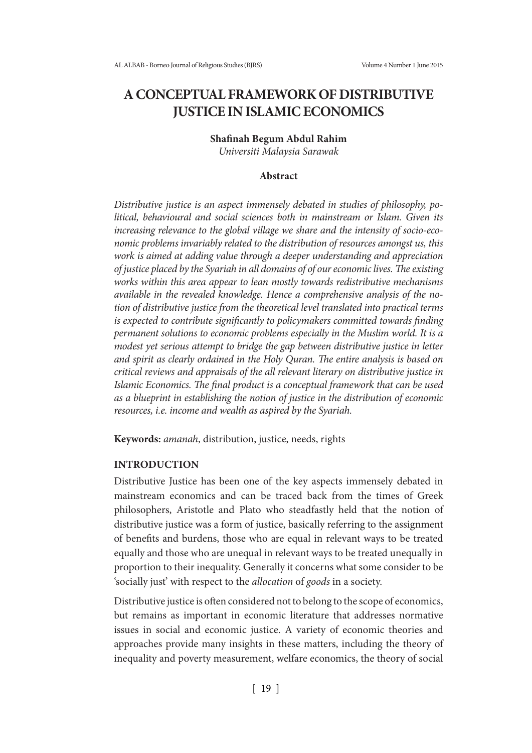# **A CONCEPTUAL FRAMEWORK OF DISTRIBUTIVE JUSTICE IN ISLAMIC ECONOMICS**

# **Shafinah Begum Abdul Rahim**

*Universiti Malaysia Sarawak*

### **Abstract**

*Distributive justice is an aspect immensely debated in studies of philosophy, political, behavioural and social sciences both in mainstream or Islam. Given its increasing relevance to the global village we share and the intensity of socio-economic problems invariably related to the distribution of resources amongst us, this work is aimed at adding value through a deeper understanding and appreciation of justice placed by the Syariah in all domains of of our economic lives. The existing works within this area appear to lean mostly towards redistributive mechanisms available in the revealed knowledge. Hence a comprehensive analysis of the notion of distributive justice from the theoretical level translated into practical terms is expected to contribute significantly to policymakers committed towards finding permanent solutions to economic problems especially in the Muslim world. It is a modest yet serious attempt to bridge the gap between distributive justice in letter and spirit as clearly ordained in the Holy Quran. The entire analysis is based on critical reviews and appraisals of the all relevant literary on distributive justice in Islamic Economics. The final product is a conceptual framework that can be used as a blueprint in establishing the notion of justice in the distribution of economic resources, i.e. income and wealth as aspired by the Syariah.*

**Keywords:** *amanah*, distribution, justice, needs, rights

#### **INTRODUCTION**

Distributive Justice has been one of the key aspects immensely debated in mainstream economics and can be traced back from the times of Greek philosophers, Aristotle and Plato who steadfastly held that the notion of distributive justice was a form of justice, basically referring to the assignment of benefits and burdens, those who are equal in relevant ways to be treated equally and those who are unequal in relevant ways to be treated unequally in proportion to their inequality. Generally it concerns what some consider to be 'socially just' with respect to the *allocation* of *goods* in a society.

Distributive justice is often considered not to belong to the scope of economics, but remains as important in economic literature that addresses normative issues in social and economic justice. A variety of economic theories and approaches provide many insights in these matters, including the theory of inequality and poverty measurement, welfare economics, the theory of social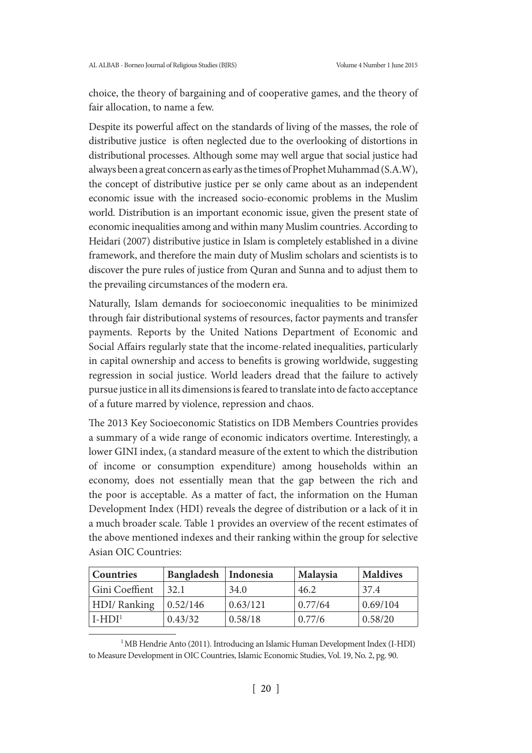choice, the theory of bargaining and of cooperative games, and the theory of fair allocation, to name a few.

Despite its powerful affect on the standards of living of the masses, the role of distributive justice is often neglected due to the overlooking of distortions in distributional processes. Although some may well argue that social justice had always been a great concern as early as the times of Prophet Muhammad (S.A.W), the concept of distributive justice per se only came about as an independent economic issue with the increased socio-economic problems in the Muslim world. Distribution is an important economic issue, given the present state of economic inequalities among and within many Muslim countries. According to Heidari (2007) distributive justice in Islam is completely established in a divine framework, and therefore the main duty of Muslim scholars and scientists is to discover the pure rules of justice from Quran and Sunna and to adjust them to the prevailing circumstances of the modern era.

Naturally, Islam demands for socioeconomic inequalities to be minimized through fair distributional systems of resources, factor payments and transfer payments. Reports by the United Nations Department of Economic and Social Affairs regularly state that the income-related inequalities, particularly in capital ownership and access to benefits is growing worldwide, suggesting regression in social justice. World leaders dread that the failure to actively pursue justice in all its dimensions is feared to translate into de facto acceptance of a future marred by violence, repression and chaos.

The 2013 Key Socioeconomic Statistics on IDB Members Countries provides a summary of a wide range of economic indicators overtime. Interestingly, a lower GINI index, (a standard measure of the extent to which the distribution of income or consumption expenditure) among households within an economy, does not essentially mean that the gap between the rich and the poor is acceptable. As a matter of fact, the information on the Human Development Index (HDI) reveals the degree of distribution or a lack of it in a much broader scale. Table 1 provides an overview of the recent estimates of the above mentioned indexes and their ranking within the group for selective Asian OIC Countries:

| Countries      | Bangladesh | Indonesia | Malaysia | <b>Maldives</b> |
|----------------|------------|-----------|----------|-----------------|
| Gini Coeffient | 32.1       | 34.0      | 46.2     | 37.4            |
| HDI/Ranking    | 0.52/146   | 0.63/121  | 0.77/64  | 0.69/104        |
| $I-HDI1$       | 0.43/32    | 0.58/18   | 0.77/6   | 0.58/20         |

<sup>&</sup>lt;sup>1</sup>MB Hendrie Anto (2011). Introducing an Islamic Human Development Index (I-HDI) to Measure Development in OIC Countries, Islamic Economic Studies, Vol. 19, No. 2, pg. 90.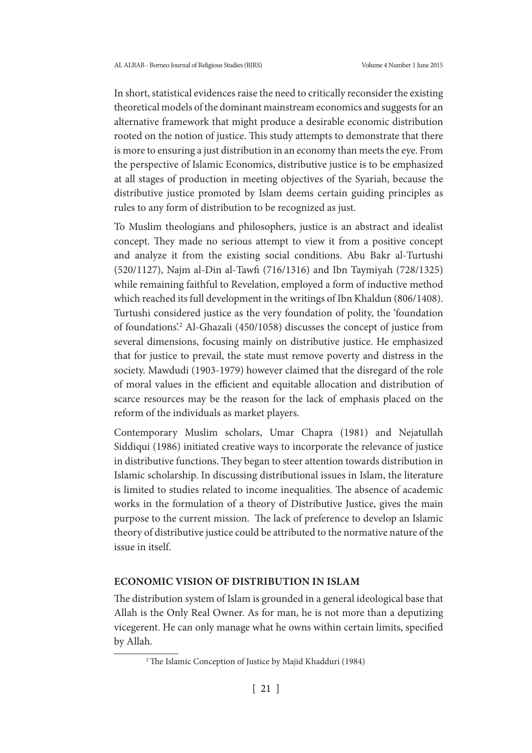In short, statistical evidences raise the need to critically reconsider the existing theoretical models of the dominant mainstream economics and suggests for an alternative framework that might produce a desirable economic distribution rooted on the notion of justice. This study attempts to demonstrate that there is more to ensuring a just distribution in an economy than meets the eye. From the perspective of Islamic Economics, distributive justice is to be emphasized at all stages of production in meeting objectives of the Syariah, because the distributive justice promoted by Islam deems certain guiding principles as rules to any form of distribution to be recognized as just.

To Muslim theologians and philosophers, justice is an abstract and idealist concept. They made no serious attempt to view it from a positive concept and analyze it from the existing social conditions. Abu Bakr al-Turtushi (520/1127), Najm al-Din al-Tawfi (716/1316) and Ibn Taymiyah (728/1325) while remaining faithful to Revelation, employed a form of inductive method which reached its full development in the writings of Ibn Khaldun (806/1408). Turtushi considered justice as the very foundation of polity, the 'foundation of foundations.<sup>2</sup> Al-Ghazali (450/1058) discusses the concept of justice from several dimensions, focusing mainly on distributive justice. He emphasized that for justice to prevail, the state must remove poverty and distress in the society. Mawdudi (1903-1979) however claimed that the disregard of the role of moral values in the efficient and equitable allocation and distribution of scarce resources may be the reason for the lack of emphasis placed on the reform of the individuals as market players.

Contemporary Muslim scholars, Umar Chapra (1981) and Nejatullah Siddiqui (1986) initiated creative ways to incorporate the relevance of justice in distributive functions. They began to steer attention towards distribution in Islamic scholarship. In discussing distributional issues in Islam, the literature is limited to studies related to income inequalities. The absence of academic works in the formulation of a theory of Distributive Justice, gives the main purpose to the current mission. The lack of preference to develop an Islamic theory of distributive justice could be attributed to the normative nature of the issue in itself.

#### **ECONOMIC VISION OF DISTRIBUTION IN ISLAM**

The distribution system of Islam is grounded in a general ideological base that Allah is the Only Real Owner. As for man, he is not more than a deputizing vicegerent. He can only manage what he owns within certain limits, specified by Allah.

<sup>&</sup>lt;sup>2</sup> The Islamic Conception of Justice by Majid Khadduri (1984)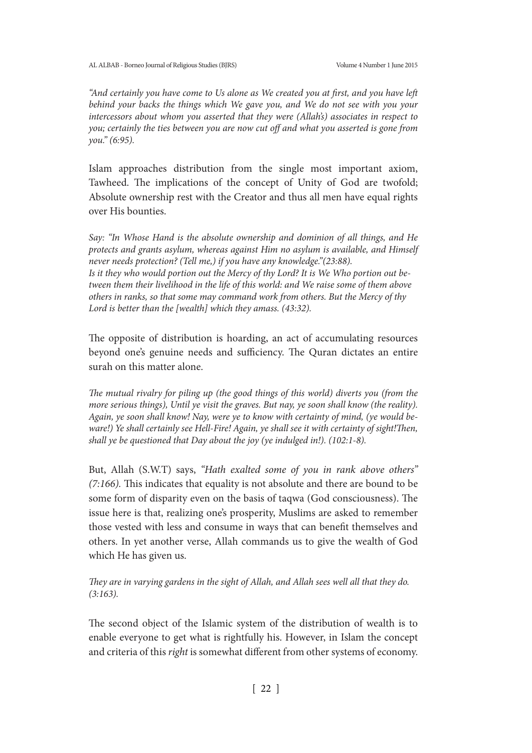*"And certainly you have come to Us alone as We created you at first, and you have left behind your backs the things which We gave you, and We do not see with you your intercessors about whom you asserted that they were (Allah's) associates in respect to you; certainly the ties between you are now cut off and what you asserted is gone from you." (6:95).*

Islam approaches distribution from the single most important axiom, Tawheed. The implications of the concept of Unity of God are twofold; Absolute ownership rest with the Creator and thus all men have equal rights over His bounties.

*Say: "In Whose Hand is the absolute ownership and dominion of all things, and He protects and grants asylum, whereas against Him no asylum is available, and Himself never needs protection? (Tell me,) if you have any knowledge."(23:88). Is it they who would portion out the Mercy of thy Lord? It is We Who portion out between them their livelihood in the life of this world: and We raise some of them above others in ranks, so that some may command work from others. But the Mercy of thy Lord is better than the [wealth] which they amass. (43:32).*

The opposite of distribution is hoarding, an act of accumulating resources beyond one's genuine needs and sufficiency. The Quran dictates an entire surah on this matter alone.

*The mutual rivalry for piling up (the good things of this world) diverts you (from the more serious things), Until ye visit the graves. But nay, ye soon shall know (the reality). Again, ye soon shall know! Nay, were ye to know with certainty of mind, (ye would beware!) Ye shall certainly see Hell-Fire! Again, ye shall see it with certainty of sight!Then, shall ye be questioned that Day about the joy (ye indulged in!). (102:1-8).*

But, Allah (S.W.T) says, *"Hath exalted some of you in rank above others" (7:166).* This indicates that equality is not absolute and there are bound to be some form of disparity even on the basis of taqwa (God consciousness). The issue here is that, realizing one's prosperity, Muslims are asked to remember those vested with less and consume in ways that can benefit themselves and others. In yet another verse, Allah commands us to give the wealth of God which He has given us.

*They are in varying gardens in the sight of Allah, and Allah sees well all that they do. (3:163).*

The second object of the Islamic system of the distribution of wealth is to enable everyone to get what is rightfully his. However, in Islam the concept and criteria of this *right* is somewhat different from other systems of economy.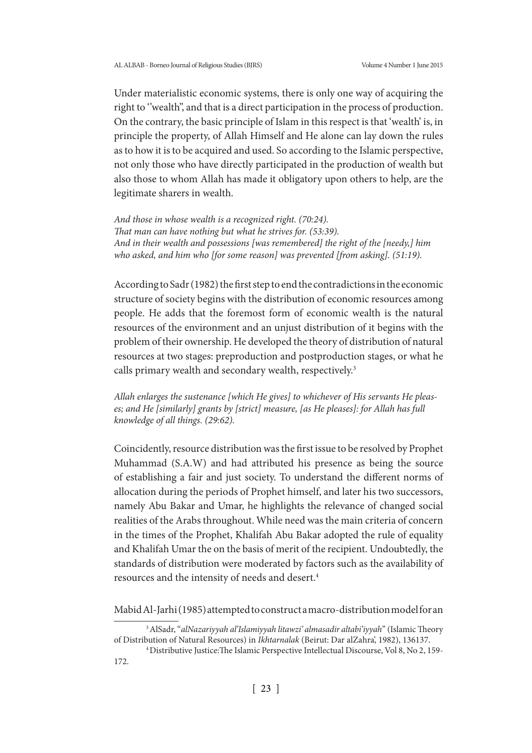Under materialistic economic systems, there is only one way of acquiring the right to ''wealth'', and that is a direct participation in the process of production. On the contrary, the basic principle of Islam in this respect is that 'wealth' is, in principle the property, of Allah Himself and He alone can lay down the rules as to how it is to be acquired and used. So according to the Islamic perspective, not only those who have directly participated in the production of wealth but also those to whom Allah has made it obligatory upon others to help, are the legitimate sharers in wealth.

*And those in whose wealth is a recognized right. (70:24). That man can have nothing but what he strives for. (53:39). And in their wealth and possessions [was remembered] the right of the [needy,] him who asked, and him who [for some reason] was prevented [from asking]. (51:19).*

According to Sadr (1982) the first step to end the contradictions in the economic structure of society begins with the distribution of economic resources among people. He adds that the foremost form of economic wealth is the natural resources of the environment and an unjust distribution of it begins with the problem of their ownership. He developed the theory of distribution of natural resources at two stages: preproduction and postproduction stages, or what he calls primary wealth and secondary wealth, respectively.<sup>3</sup>

*Allah enlarges the sustenance [which He gives] to whichever of His servants He pleases; and He [similarly] grants by [strict] measure, [as He pleases]: for Allah has full knowledge of all things. (29:62).*

Coincidently, resource distribution was the first issue to be resolved by Prophet Muhammad (S.A.W) and had attributed his presence as being the source of establishing a fair and just society. To understand the different norms of allocation during the periods of Prophet himself, and later his two successors, namely Abu Bakar and Umar, he highlights the relevance of changed social realities of the Arabs throughout. While need was the main criteria of concern in the times of the Prophet, Khalifah Abu Bakar adopted the rule of equality and Khalifah Umar the on the basis of merit of the recipient. Undoubtedly, the standards of distribution were moderated by factors such as the availability of resources and the intensity of needs and desert.4

Mabid Al-Jarhi (1985) attempted to construct a macro-distribution model for an

<sup>3</sup> AlSadr, "*alNazariyyah al'Islamiyyah litawzi' almasadir altabi'iyyah*" (Islamic Theory of Distribution of Natural Resources) in *Ikhtarnalak* (Beirut: Dar alZahra', 1982), 136137.

<sup>4</sup> Distributive Justice:The Islamic Perspective Intellectual Discourse, Vol 8, No 2, 159- 172.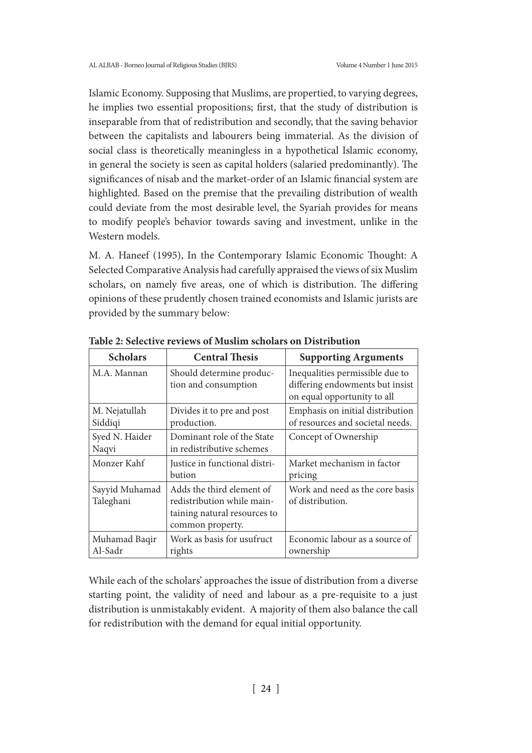Islamic Economy. Supposing that Muslims, are propertied, to varying degrees, he implies two essential propositions; first, that the study of distribution is inseparable from that of redistribution and secondly, that the saving behavior between the capitalists and labourers being immaterial. As the division of social class is theoretically meaningless in a hypothetical Islamic economy, in general the society is seen as capital holders (salaried predominantly). The significances of nisab and the market-order of an Islamic financial system are highlighted. Based on the premise that the prevailing distribution of wealth could deviate from the most desirable level, the Syariah provides for means to modify people's behavior towards saving and investment, unlike in the Western models.

M. A. Haneef (1995), In the Contemporary Islamic Economic Thought: A Selected Comparative Analysis had carefully appraised the views of six Muslim scholars, on namely five areas, one of which is distribution. The differing opinions of these prudently chosen trained economists and Islamic jurists are provided by the summary below:

| <b>Scholars</b>             | <b>Central Thesis</b>                                                                                       | <b>Supporting Arguments</b>                                                                       |
|-----------------------------|-------------------------------------------------------------------------------------------------------------|---------------------------------------------------------------------------------------------------|
| M.A. Mannan                 | Should determine produc-<br>tion and consumption                                                            | Inequalities permissible due to<br>differing endowments but insist<br>on equal opportunity to all |
| M. Nejatullah<br>Siddiqi    | Divides it to pre and post<br>production.                                                                   | Emphasis on initial distribution<br>of resources and societal needs.                              |
| Syed N. Haider<br>Naqvi     | Dominant role of the State<br>in redistributive schemes                                                     | Concept of Ownership                                                                              |
| Monzer Kahf                 | Justice in functional distri-<br>bution                                                                     | Market mechanism in factor<br>pricing                                                             |
| Sayyid Muhamad<br>Taleghani | Adds the third element of<br>redistribution while main-<br>taining natural resources to<br>common property. | Work and need as the core basis<br>of distribution.                                               |
| Muhamad Baqir<br>Al-Sadr    | Work as basis for usufruct<br>rights                                                                        | Economic labour as a source of<br>ownership                                                       |

**Table 2: Selective reviews of Muslim scholars on Distribution**

While each of the scholars' approaches the issue of distribution from a diverse starting point, the validity of need and labour as a pre-requisite to a just distribution is unmistakably evident. A majority of them also balance the call for redistribution with the demand for equal initial opportunity.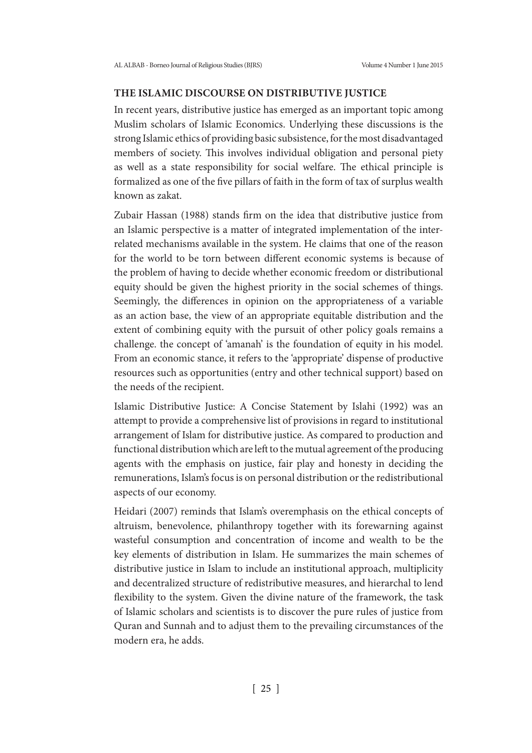## **THE ISLAMIC DISCOURSE ON DISTRIBUTIVE JUSTICE**

In recent years, distributive justice has emerged as an important topic among Muslim scholars of Islamic Economics. Underlying these discussions is the strong Islamic ethics of providing basic subsistence, for the most disadvantaged members of society. This involves individual obligation and personal piety as well as a state responsibility for social welfare. The ethical principle is formalized as one of the five pillars of faith in the form of tax of surplus wealth known as zakat.

Zubair Hassan (1988) stands firm on the idea that distributive justice from an Islamic perspective is a matter of integrated implementation of the interrelated mechanisms available in the system. He claims that one of the reason for the world to be torn between different economic systems is because of the problem of having to decide whether economic freedom or distributional equity should be given the highest priority in the social schemes of things. Seemingly, the differences in opinion on the appropriateness of a variable as an action base, the view of an appropriate equitable distribution and the extent of combining equity with the pursuit of other policy goals remains a challenge. the concept of 'amanah' is the foundation of equity in his model. From an economic stance, it refers to the 'appropriate' dispense of productive resources such as opportunities (entry and other technical support) based on the needs of the recipient.

Islamic Distributive Justice: A Concise Statement by Islahi (1992) was an attempt to provide a comprehensive list of provisions in regard to institutional arrangement of Islam for distributive justice. As compared to production and functional distribution which are left to the mutual agreement of the producing agents with the emphasis on justice, fair play and honesty in deciding the remunerations, Islam's focus is on personal distribution or the redistributional aspects of our economy.

Heidari (2007) reminds that Islam's overemphasis on the ethical concepts of altruism, benevolence, philanthropy together with its forewarning against wasteful consumption and concentration of income and wealth to be the key elements of distribution in Islam. He summarizes the main schemes of distributive justice in Islam to include an institutional approach, multiplicity and decentralized structure of redistributive measures, and hierarchal to lend flexibility to the system. Given the divine nature of the framework, the task of Islamic scholars and scientists is to discover the pure rules of justice from Quran and Sunnah and to adjust them to the prevailing circumstances of the modern era, he adds.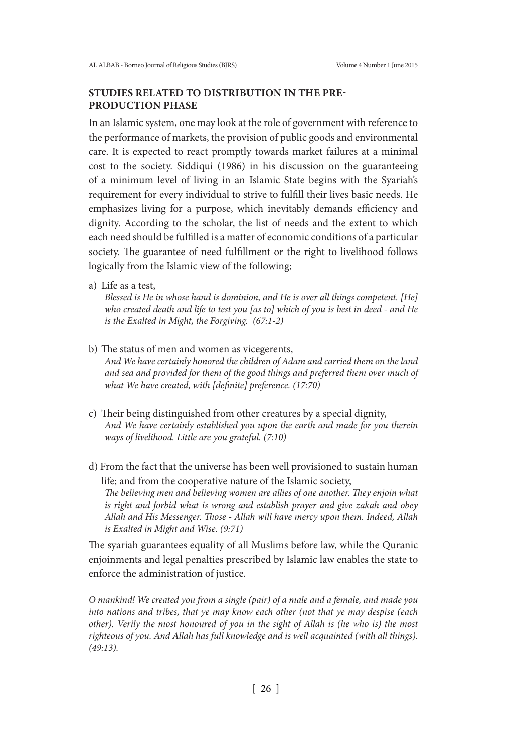## **STUDIES RELATED TO DISTRIBUTION IN THE PRE-PRODUCTION PHASE**

In an Islamic system, one may look at the role of government with reference to the performance of markets, the provision of public goods and environmental care. It is expected to react promptly towards market failures at a minimal cost to the society. Siddiqui (1986) in his discussion on the guaranteeing of a minimum level of living in an Islamic State begins with the Syariah's requirement for every individual to strive to fulfill their lives basic needs. He emphasizes living for a purpose, which inevitably demands efficiency and dignity. According to the scholar, the list of needs and the extent to which each need should be fulfilled is a matter of economic conditions of a particular society. The guarantee of need fulfillment or the right to livelihood follows logically from the Islamic view of the following;

a) Life as a test,

*Blessed is He in whose hand is dominion, and He is over all things competent. [He] who created death and life to test you [as to] which of you is best in deed - and He is the Exalted in Might, the Forgiving. (67:1-2)* 

b) The status of men and women as vicegerents,

*And We have certainly honored the children of Adam and carried them on the land and sea and provided for them of the good things and preferred them over much of what We have created, with [definite] preference. (17:70)*

- c) Their being distinguished from other creatures by a special dignity, *And We have certainly established you upon the earth and made for you therein ways of livelihood. Little are you grateful. (7:10)*
- d) From the fact that the universe has been well provisioned to sustain human life; and from the cooperative nature of the Islamic society,

*The believing men and believing women are allies of one another. They enjoin what is right and forbid what is wrong and establish prayer and give zakah and obey Allah and His Messenger. Those - Allah will have mercy upon them. Indeed, Allah is Exalted in Might and Wise. (9:71)*

The syariah guarantees equality of all Muslims before law, while the Quranic enjoinments and legal penalties prescribed by Islamic law enables the state to enforce the administration of justice.

*O mankind! We created you from a single (pair) of a male and a female, and made you into nations and tribes, that ye may know each other (not that ye may despise (each other). Verily the most honoured of you in the sight of Allah is (he who is) the most righteous of you. And Allah has full knowledge and is well acquainted (with all things). (49:13).*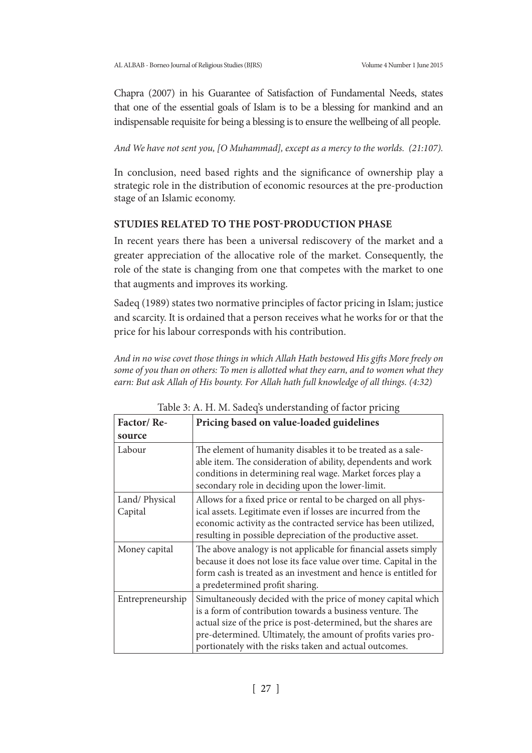Chapra (2007) in his Guarantee of Satisfaction of Fundamental Needs, states that one of the essential goals of Islam is to be a blessing for mankind and an indispensable requisite for being a blessing is to ensure the wellbeing of all people.

*And We have not sent you, [O Muhammad], except as a mercy to the worlds. (21:107).* 

In conclusion, need based rights and the significance of ownership play a strategic role in the distribution of economic resources at the pre-production stage of an Islamic economy.

# **STUDIES RELATED TO THE POST-PRODUCTION PHASE**

In recent years there has been a universal rediscovery of the market and a greater appreciation of the allocative role of the market. Consequently, the role of the state is changing from one that competes with the market to one that augments and improves its working.

Sadeq (1989) states two normative principles of factor pricing in Islam; justice and scarcity. It is ordained that a person receives what he works for or that the price for his labour corresponds with his contribution.

*And in no wise covet those things in which Allah Hath bestowed His gifts More freely on some of you than on others: To men is allotted what they earn, and to women what they earn: But ask Allah of His bounty. For Allah hath full knowledge of all things. (4:32)*

| Factor/Re-               | Pricing based on value-loaded guidelines                                                                                                                                                                                                                                                                                |  |
|--------------------------|-------------------------------------------------------------------------------------------------------------------------------------------------------------------------------------------------------------------------------------------------------------------------------------------------------------------------|--|
| source                   |                                                                                                                                                                                                                                                                                                                         |  |
| Labour                   | The element of humanity disables it to be treated as a sale-<br>able item. The consideration of ability, dependents and work<br>conditions in determining real wage. Market forces play a<br>secondary role in deciding upon the lower-limit.                                                                           |  |
| Land/Physical<br>Capital | Allows for a fixed price or rental to be charged on all phys-<br>ical assets. Legitimate even if losses are incurred from the<br>economic activity as the contracted service has been utilized,<br>resulting in possible depreciation of the productive asset.                                                          |  |
| Money capital            | The above analogy is not applicable for financial assets simply<br>because it does not lose its face value over time. Capital in the<br>form cash is treated as an investment and hence is entitled for<br>a predetermined profit sharing.                                                                              |  |
| Entrepreneurship         | Simultaneously decided with the price of money capital which<br>is a form of contribution towards a business venture. The<br>actual size of the price is post-determined, but the shares are<br>pre-determined. Ultimately, the amount of profits varies pro-<br>portionately with the risks taken and actual outcomes. |  |

Table 3: A. H. M. Sadeq's understanding of factor pricing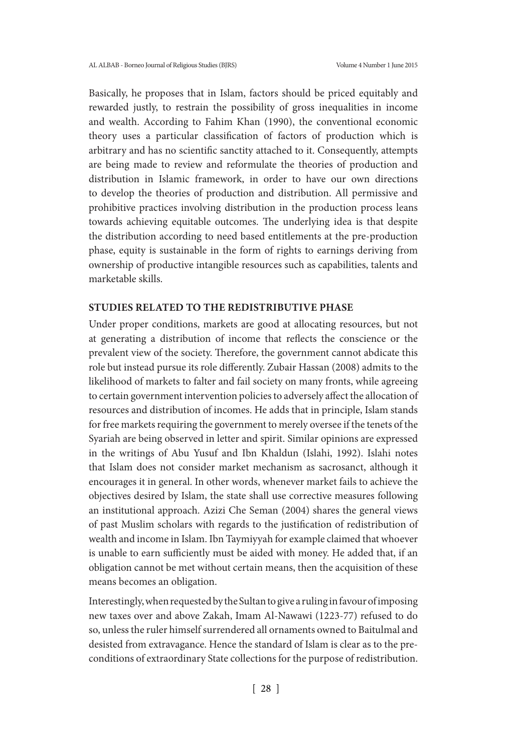Basically, he proposes that in Islam, factors should be priced equitably and rewarded justly, to restrain the possibility of gross inequalities in income and wealth. According to Fahim Khan (1990), the conventional economic theory uses a particular classification of factors of production which is arbitrary and has no scientific sanctity attached to it. Consequently, attempts are being made to review and reformulate the theories of production and distribution in Islamic framework, in order to have our own directions to develop the theories of production and distribution. All permissive and prohibitive practices involving distribution in the production process leans towards achieving equitable outcomes. The underlying idea is that despite the distribution according to need based entitlements at the pre-production phase, equity is sustainable in the form of rights to earnings deriving from ownership of productive intangible resources such as capabilities, talents and marketable skills.

#### **STUDIES RELATED TO THE REDISTRIBUTIVE PHASE**

Under proper conditions, markets are good at allocating resources, but not at generating a distribution of income that reflects the conscience or the prevalent view of the society. Therefore, the government cannot abdicate this role but instead pursue its role differently. Zubair Hassan (2008) admits to the likelihood of markets to falter and fail society on many fronts, while agreeing to certain government intervention policies to adversely affect the allocation of resources and distribution of incomes. He adds that in principle, Islam stands for free markets requiring the government to merely oversee if the tenets of the Syariah are being observed in letter and spirit. Similar opinions are expressed in the writings of Abu Yusuf and Ibn Khaldun (Islahi, 1992). Islahi notes that Islam does not consider market mechanism as sacrosanct, although it encourages it in general. In other words, whenever market fails to achieve the objectives desired by Islam, the state shall use corrective measures following an institutional approach. Azizi Che Seman (2004) shares the general views of past Muslim scholars with regards to the justification of redistribution of wealth and income in Islam. Ibn Taymiyyah for example claimed that whoever is unable to earn sufficiently must be aided with money. He added that, if an obligation cannot be met without certain means, then the acquisition of these means becomes an obligation.

Interestingly, when requested by the Sultan to give a ruling in favour of imposing new taxes over and above Zakah, Imam Al-Nawawi (1223-77) refused to do so, unless the ruler himself surrendered all ornaments owned to Baitulmal and desisted from extravagance. Hence the standard of Islam is clear as to the preconditions of extraordinary State collections for the purpose of redistribution.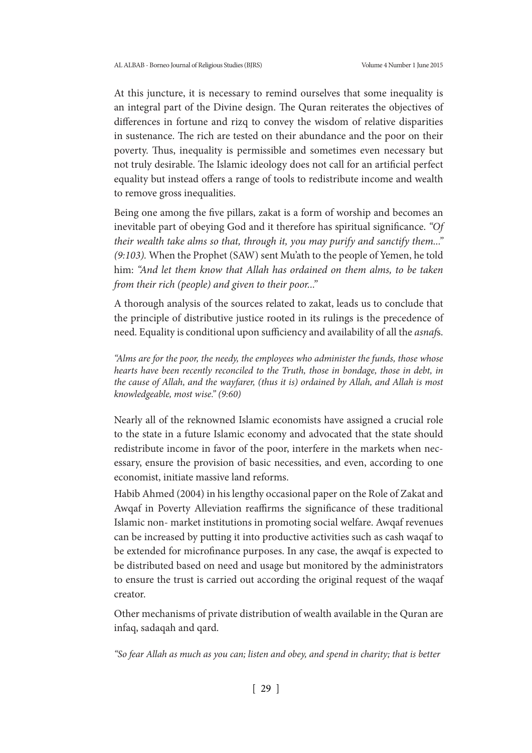At this juncture, it is necessary to remind ourselves that some inequality is an integral part of the Divine design. The Quran reiterates the objectives of differences in fortune and rizq to convey the wisdom of relative disparities in sustenance. The rich are tested on their abundance and the poor on their poverty. Thus, inequality is permissible and sometimes even necessary but not truly desirable. The Islamic ideology does not call for an artificial perfect equality but instead offers a range of tools to redistribute income and wealth to remove gross inequalities.

Being one among the five pillars, zakat is a form of worship and becomes an inevitable part of obeying God and it therefore has spiritual significance. *"Of their wealth take alms so that, through it, you may purify and sanctify them..." (9:103).* When the Prophet (SAW) sent Mu'ath to the people of Yemen, he told him: *"And let them know that Allah has ordained on them alms, to be taken from their rich (people) and given to their poor..."*

A thorough analysis of the sources related to zakat, leads us to conclude that the principle of distributive justice rooted in its rulings is the precedence of need. Equality is conditional upon sufficiency and availability of all the *asnaf*s.

*"Alms are for the poor, the needy, the employees who administer the funds, those whose hearts have been recently reconciled to the Truth, those in bondage, those in debt, in the cause of Allah, and the wayfarer, (thus it is) ordained by Allah, and Allah is most knowledgeable, most wise." (9:60)*

Nearly all of the reknowned Islamic economists have assigned a crucial role to the state in a future Islamic economy and advocated that the state should redistribute income in favor of the poor, interfere in the markets when necessary, ensure the provision of basic necessities, and even, according to one economist, initiate massive land reforms.

Habib Ahmed (2004) in his lengthy occasional paper on the Role of Zakat and Awqaf in Poverty Alleviation reaffirms the significance of these traditional Islamic non- market institutions in promoting social welfare. Awqaf revenues can be increased by putting it into productive activities such as cash waqaf to be extended for microfinance purposes. In any case, the awqaf is expected to be distributed based on need and usage but monitored by the administrators to ensure the trust is carried out according the original request of the waqaf creator.

Other mechanisms of private distribution of wealth available in the Quran are infaq, sadaqah and qard.

*"So fear Allah as much as you can; listen and obey, and spend in charity; that is better*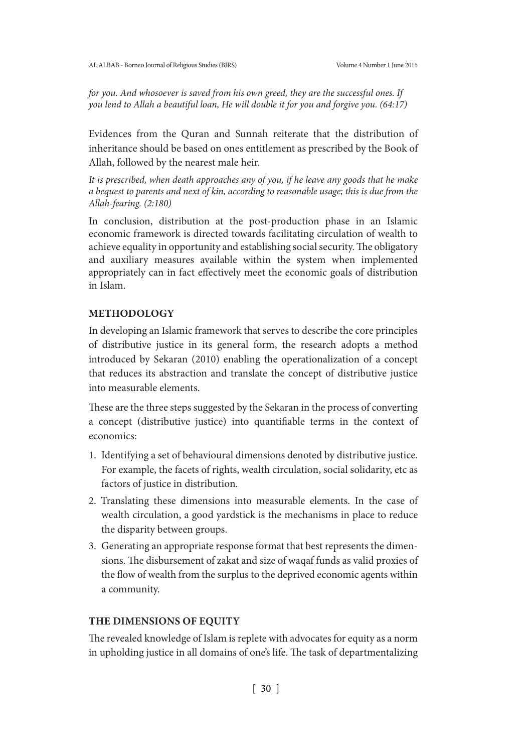*for you. And whosoever is saved from his own greed, they are the successful ones. If you lend to Allah a beautiful loan, He will double it for you and forgive you. (64:17)*

Evidences from the Quran and Sunnah reiterate that the distribution of inheritance should be based on ones entitlement as prescribed by the Book of Allah, followed by the nearest male heir.

*It is prescribed, when death approaches any of you, if he leave any goods that he make a bequest to parents and next of kin, according to reasonable usage; this is due from the Allah-fearing. (2:180)*

In conclusion, distribution at the post-production phase in an Islamic economic framework is directed towards facilitating circulation of wealth to achieve equality in opportunity and establishing social security. The obligatory and auxiliary measures available within the system when implemented appropriately can in fact effectively meet the economic goals of distribution in Islam.

# **METHODOLOGY**

In developing an Islamic framework that serves to describe the core principles of distributive justice in its general form, the research adopts a method introduced by Sekaran (2010) enabling the operationalization of a concept that reduces its abstraction and translate the concept of distributive justice into measurable elements.

These are the three steps suggested by the Sekaran in the process of converting a concept (distributive justice) into quantifiable terms in the context of economics:

- 1. Identifying a set of behavioural dimensions denoted by distributive justice. For example, the facets of rights, wealth circulation, social solidarity, etc as factors of justice in distribution.
- 2. Translating these dimensions into measurable elements. In the case of wealth circulation, a good yardstick is the mechanisms in place to reduce the disparity between groups.
- 3. Generating an appropriate response format that best represents the dimensions. The disbursement of zakat and size of waqaf funds as valid proxies of the flow of wealth from the surplus to the deprived economic agents within a community.

# **THE DIMENSIONS OF EQUITY**

The revealed knowledge of Islam is replete with advocates for equity as a norm in upholding justice in all domains of one's life. The task of departmentalizing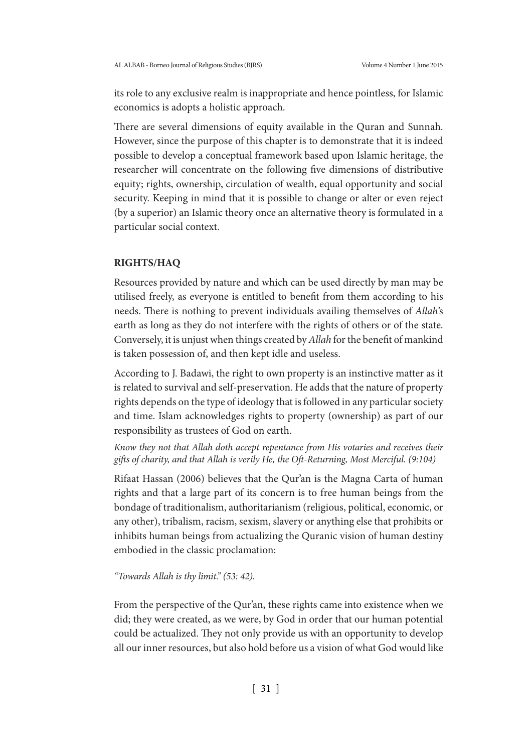its role to any exclusive realm is inappropriate and hence pointless, for Islamic economics is adopts a holistic approach.

There are several dimensions of equity available in the Quran and Sunnah. However, since the purpose of this chapter is to demonstrate that it is indeed possible to develop a conceptual framework based upon Islamic heritage, the researcher will concentrate on the following five dimensions of distributive equity; rights, ownership, circulation of wealth, equal opportunity and social security. Keeping in mind that it is possible to change or alter or even reject (by a superior) an Islamic theory once an alternative theory is formulated in a particular social context.

### **RIGHTS/HAQ**

Resources provided by nature and which can be used directly by man may be utilised freely, as everyone is entitled to benefit from them according to his needs. There is nothing to prevent individuals availing themselves of *Allah*'s earth as long as they do not interfere with the rights of others or of the state. Conversely, it is unjust when things created by *Allah* for the benefit of mankind is taken possession of, and then kept idle and useless.

According to J. Badawi, the right to own property is an instinctive matter as it is related to survival and self-preservation. He adds that the nature of property rights depends on the type of ideology that is followed in any particular society and time. Islam acknowledges rights to property (ownership) as part of our responsibility as trustees of God on earth.

*Know they not that Allah doth accept repentance from His votaries and receives their gifts of charity, and that Allah is verily He, the Oft-Returning, Most Merciful. (9:104)*

Rifaat Hassan (2006) believes that the Qur'an is the Magna Carta of human rights and that a large part of its concern is to free human beings from the bondage of traditionalism, authoritarianism (religious, political, economic, or any other), tribalism, racism, sexism, slavery or anything else that prohibits or inhibits human beings from actualizing the Quranic vision of human destiny embodied in the classic proclamation:

#### *"Towards Allah is thy limit." (53: 42).*

From the perspective of the Qur'an, these rights came into existence when we did; they were created, as we were, by God in order that our human potential could be actualized. They not only provide us with an opportunity to develop all our inner resources, but also hold before us a vision of what God would like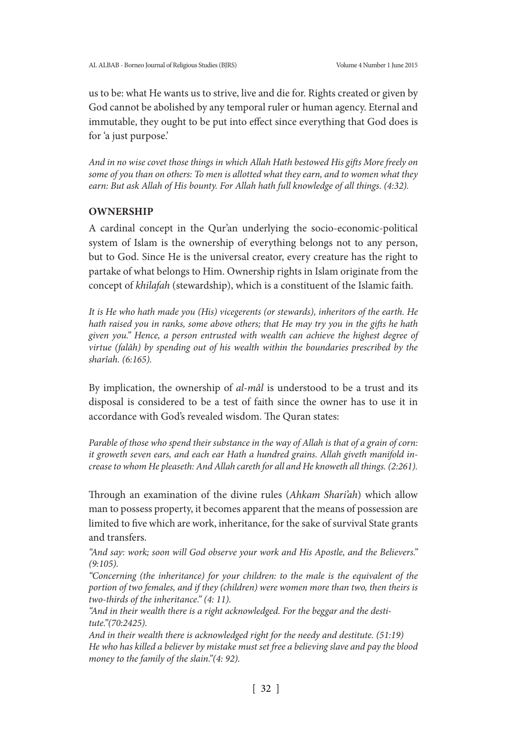us to be: what He wants us to strive, live and die for. Rights created or given by God cannot be abolished by any temporal ruler or human agency. Eternal and immutable, they ought to be put into effect since everything that God does is for 'a just purpose.'

*And in no wise covet those things in which Allah Hath bestowed His gifts More freely on some of you than on others: To men is allotted what they earn, and to women what they earn: But ask Allah of His bounty. For Allah hath full knowledge of all things. (4:32).*

# **OWNERSHIP**

A cardinal concept in the Qur'an underlying the socio-economic-political system of Islam is the ownership of everything belongs not to any person, but to God. Since He is the universal creator, every creature has the right to partake of what belongs to Him. Ownership rights in Islam originate from the concept of *khilafah* (stewardship), which is a constituent of the Islamic faith.

*It is He who hath made you (His) vicegerents (or stewards), inheritors of the earth. He hath raised you in ranks, some above others; that He may try you in the gifts he hath given you." Hence, a person entrusted with wealth can achieve the highest degree of virtue (falâh) by spending out of his wealth within the boundaries prescribed by the sharîah. (6:165).*

By implication, the ownership of *al-mâl* is understood to be a trust and its disposal is considered to be a test of faith since the owner has to use it in accordance with God's revealed wisdom. The Quran states:

*Parable of those who spend their substance in the way of Allah is that of a grain of corn: it groweth seven ears, and each ear Hath a hundred grains. Allah giveth manifold increase to whom He pleaseth: And Allah careth for all and He knoweth all things. (2:261).*

Through an examination of the divine rules (*Ahkam Shari'ah*) which allow man to possess property, it becomes apparent that the means of possession are limited to five which are work, inheritance, for the sake of survival State grants and transfers.

*"And say: work; soon will God observe your work and His Apostle, and the Believers." (9:105).*

*"Concerning (the inheritance) for your children: to the male is the equivalent of the portion of two females, and if they (children) were women more than two, then theirs is two-thirds of the inheritance." (4: 11).*

*"And in their wealth there is a right acknowledged. For the beggar and the destitute."(70:2425).*

*And in their wealth there is acknowledged right for the needy and destitute. (51:19) He who has killed a believer by mistake must set free a believing slave and pay the blood money to the family of the slain."(4: 92).*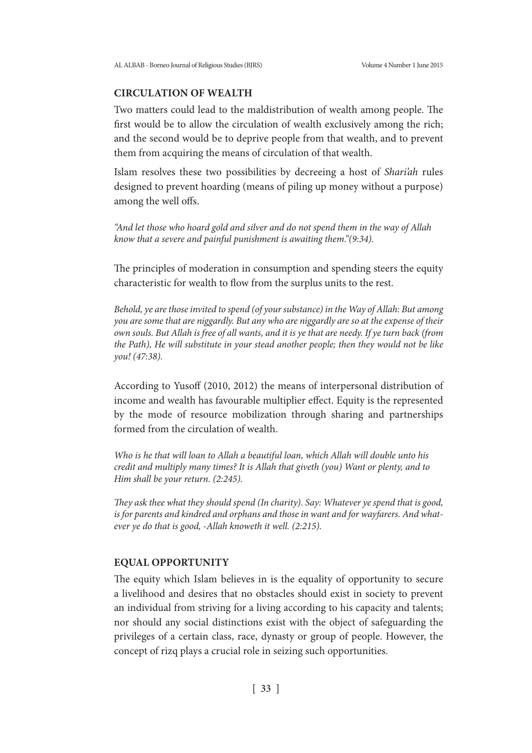# **CIRCULATION OF WEALTH**

Two matters could lead to the maldistribution of wealth among people. The first would be to allow the circulation of wealth exclusively among the rich; and the second would be to deprive people from that wealth, and to prevent them from acquiring the means of circulation of that wealth.

Islam resolves these two possibilities by decreeing a host of *Shari'ah* rules designed to prevent hoarding (means of piling up money without a purpose) among the well offs.

*"And let those who hoard gold and silver and do not spend them in the way of Allah know that a severe and painful punishment is awaiting them."(9:34).*

The principles of moderation in consumption and spending steers the equity characteristic for wealth to flow from the surplus units to the rest.

*Behold, ye are those invited to spend (of your substance) in the Way of Allah: But among you are some that are niggardly. But any who are niggardly are so at the expense of their own souls. But Allah is free of all wants, and it is ye that are needy. If ye turn back (from the Path), He will substitute in your stead another people; then they would not be like you! (47:38).*

According to Yusoff (2010, 2012) the means of interpersonal distribution of income and wealth has favourable multiplier effect. Equity is the represented by the mode of resource mobilization through sharing and partnerships formed from the circulation of wealth.

*Who is he that will loan to Allah a beautiful loan, which Allah will double unto his credit and multiply many times? It is Allah that giveth (you) Want or plenty, and to Him shall be your return. (2:245).*

*They ask thee what they should spend (In charity). Say: Whatever ye spend that is good, is for parents and kindred and orphans and those in want and for wayfarers. And whatever ye do that is good, -Allah knoweth it well. (2:215).*

### **EQUAL OPPORTUNITY**

The equity which Islam believes in is the equality of opportunity to secure a livelihood and desires that no obstacles should exist in society to prevent an individual from striving for a living according to his capacity and talents; nor should any social distinctions exist with the object of safeguarding the privileges of a certain class, race, dynasty or group of people. However, the concept of rizq plays a crucial role in seizing such opportunities.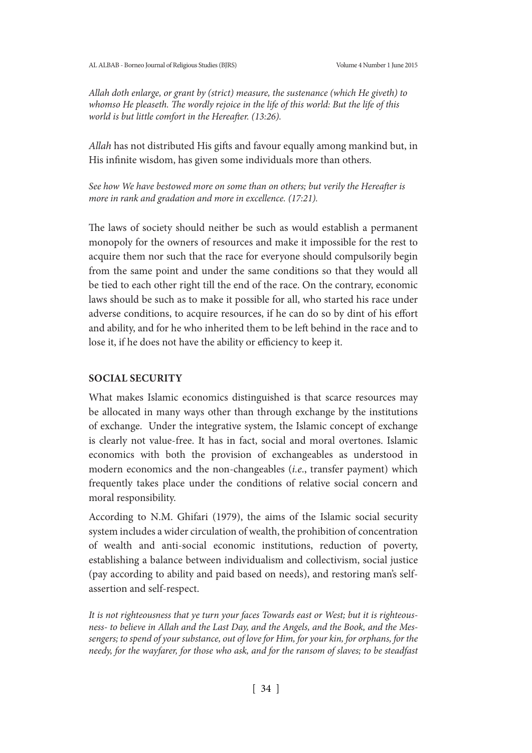*Allah doth enlarge, or grant by (strict) measure, the sustenance (which He giveth) to whomso He pleaseth. The wordly rejoice in the life of this world: But the life of this world is but little comfort in the Hereafter. (13:26).*

*Allah* has not distributed His gifts and favour equally among mankind but, in His infinite wisdom, has given some individuals more than others.

*See how We have bestowed more on some than on others; but verily the Hereafter is more in rank and gradation and more in excellence. (17:21).*

The laws of society should neither be such as would establish a permanent monopoly for the owners of resources and make it impossible for the rest to acquire them nor such that the race for everyone should compulsorily begin from the same point and under the same conditions so that they would all be tied to each other right till the end of the race. On the contrary, economic laws should be such as to make it possible for all, who started his race under adverse conditions, to acquire resources, if he can do so by dint of his effort and ability, and for he who inherited them to be left behind in the race and to lose it, if he does not have the ability or efficiency to keep it.

## **SOCIAL SECURITY**

What makes Islamic economics distinguished is that scarce resources may be allocated in many ways other than through exchange by the institutions of exchange. Under the integrative system, the Islamic concept of exchange is clearly not value-free. It has in fact, social and moral overtones. Islamic economics with both the provision of exchangeables as understood in modern economics and the non-changeables (*i.e*., transfer payment) which frequently takes place under the conditions of relative social concern and moral responsibility.

According to N.M. Ghifari (1979), the aims of the Islamic social security system includes a wider circulation of wealth, the prohibition of concentration of wealth and anti-social economic institutions, reduction of poverty, establishing a balance between individualism and collectivism, social justice (pay according to ability and paid based on needs), and restoring man's selfassertion and self-respect.

*It is not righteousness that ye turn your faces Towards east or West; but it is righteousness- to believe in Allah and the Last Day, and the Angels, and the Book, and the Messengers; to spend of your substance, out of love for Him, for your kin, for orphans, for the needy, for the wayfarer, for those who ask, and for the ransom of slaves; to be steadfast*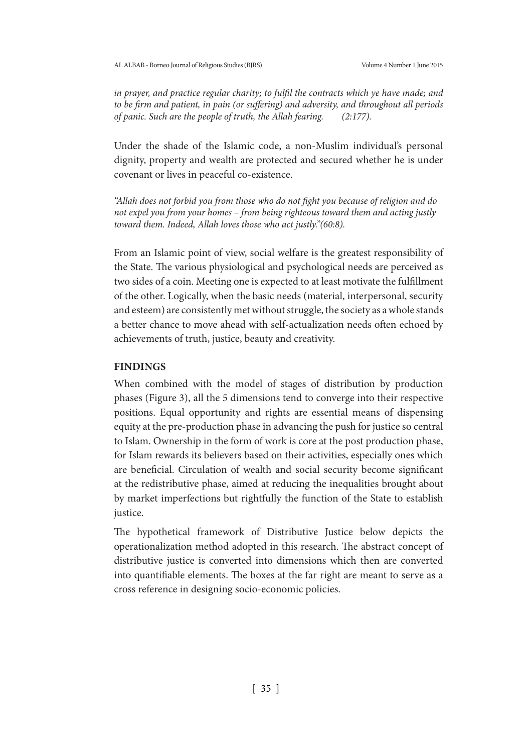*in prayer, and practice regular charity; to fulfil the contracts which ye have made; and to be firm and patient, in pain (or suffering) and adversity, and throughout all periods of panic. Such are the people of truth, the Allah fearing. (2:177).*

Under the shade of the Islamic code, a non-Muslim individual's personal dignity, property and wealth are protected and secured whether he is under covenant or lives in peaceful co-existence.

*"Allah does not forbid you from those who do not fight you because of religion and do not expel you from your homes – from being righteous toward them and acting justly toward them. Indeed, Allah loves those who act justly."(60:8).*

From an Islamic point of view, social welfare is the greatest responsibility of the State. The various physiological and psychological needs are perceived as two sides of a coin. Meeting one is expected to at least motivate the fulfillment of the other. Logically, when the basic needs (material, interpersonal, security and esteem) are consistently met without struggle, the society as a whole stands a better chance to move ahead with self-actualization needs often echoed by achievements of truth, justice, beauty and creativity.

### **FINDINGS**

When combined with the model of stages of distribution by production phases (Figure 3), all the 5 dimensions tend to converge into their respective positions. Equal opportunity and rights are essential means of dispensing equity at the pre-production phase in advancing the push for justice so central to Islam. Ownership in the form of work is core at the post production phase, for Islam rewards its believers based on their activities, especially ones which are beneficial. Circulation of wealth and social security become significant at the redistributive phase, aimed at reducing the inequalities brought about by market imperfections but rightfully the function of the State to establish justice.

The hypothetical framework of Distributive Justice below depicts the operationalization method adopted in this research. The abstract concept of distributive justice is converted into dimensions which then are converted into quantifiable elements. The boxes at the far right are meant to serve as a cross reference in designing socio-economic policies.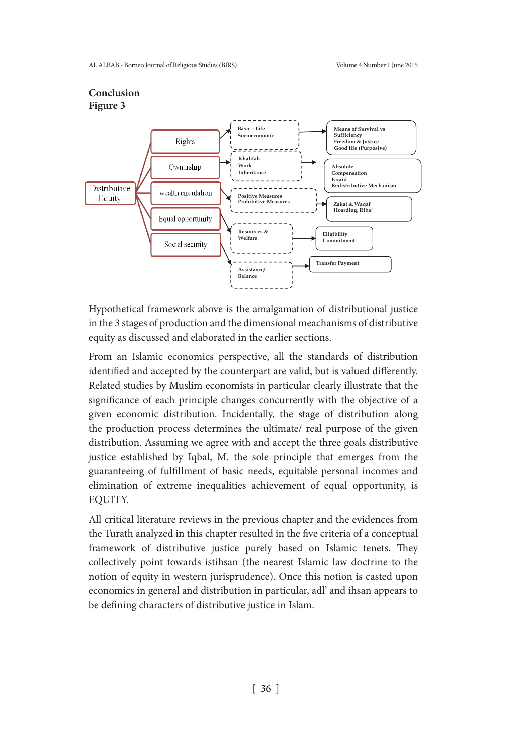

Hypothetical framework above is the amalgamation of distributional justice in the 3 stages of production and the dimensional meachanisms of distributive equity as discussed and elaborated in the earlier sections.

From an Islamic economics perspective, all the standards of distribution identified and accepted by the counterpart are valid, but is valued differently. Related studies by Muslim economists in particular clearly illustrate that the significance of each principle changes concurrently with the objective of a given economic distribution. Incidentally, the stage of distribution along the production process determines the ultimate/ real purpose of the given distribution. Assuming we agree with and accept the three goals distributive justice established by Iqbal, M. the sole principle that emerges from the guaranteeing of fulfillment of basic needs, equitable personal incomes and elimination of extreme inequalities achievement of equal opportunity, is EQUITY.

All critical literature reviews in the previous chapter and the evidences from the Turath analyzed in this chapter resulted in the five criteria of a conceptual framework of distributive justice purely based on Islamic tenets. They collectively point towards istihsan (the nearest Islamic law doctrine to the notion of equity in western jurisprudence). Once this notion is casted upon economics in general and distribution in particular, adl' and ihsan appears to be defining characters of distributive justice in Islam.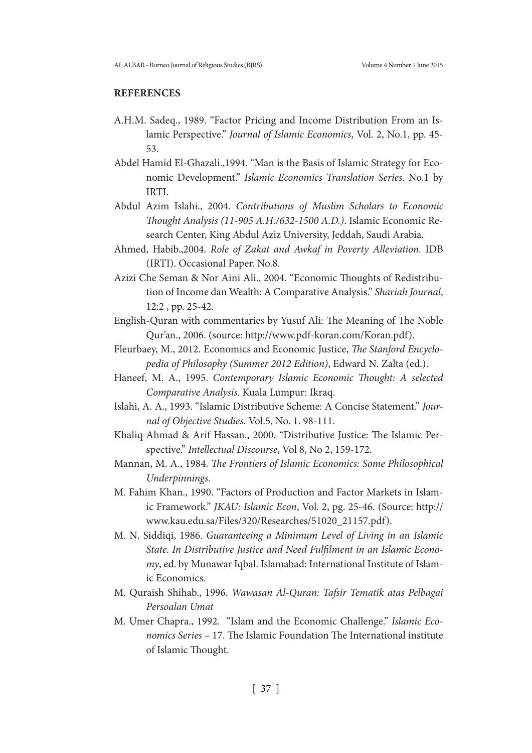### **REFERENCES**

- A.H.M. Sadeq., 1989. "Factor Pricing and Income Distribution From an Islamic Perspective." *Journal of Islamic Economics*, Vol. 2, No.1, pp. 45- 53.
- Abdel Hamid El-Ghazali.,1994. "Man is the Basis of Islamic Strategy for Economic Development." *Islamic Economics Translation Series*. No.1 by IRTI.
- Abdul Azim Islahi., 2004. *Contributions of Muslim Scholars to Economic Thought Analysis (11-905 A.H./632-1500 A.D.)*. Islamic Economic Research Center, King Abdul Aziz University, Jeddah, Saudi Arabia.
- Ahmed, Habib.,2004. *Role of Zakat and Awkaf in Poverty Alleviation.* IDB (IRTI). Occasional Paper. No.8.
- Azizi Che Seman & Nor Aini Ali., 2004. "Economic Thoughts of Redistribution of Income dan Wealth: A Comparative Analysis." *Shariah Journal*, 12:2 , pp. 25-42.
- English-Quran with commentaries by Yusuf Ali: The Meaning of The Noble Qur'an., 2006. (source: http://www.pdf-koran.com/Koran.pdf).
- Fleurbaey, M., 2012. Economics and Economic Justice, *The Stanford Encyclopedia of Philosophy (Summer 2012 Edition)*, Edward N. Zalta (ed.).
- Haneef, M. A., 1995. *Contemporary Islamic Economic Thought: A selected Comparative Analysis*. Kuala Lumpur: Ikraq.
- Islahi, A. A., 1993. "Islamic Distributive Scheme: A Concise Statement." *Journal of Objective Studies*. Vol.5, No. 1. 98-111.
- Khaliq Ahmad & Arif Hassan., 2000. "Distributive Justice: The Islamic Perspective." *Intellectual Discourse*, Vol 8, No 2, 159-172.
- Mannan, M. A., 1984. *The Frontiers of Islamic Economics: Some Philosophical Underpinnings*.
- M. Fahim Khan., 1990. "Factors of Production and Factor Markets in Islamic Framework." *JKAU: Islamic Econ*, Vol. 2, pg. 25-46. (Source: http:// www.kau.edu.sa/Files/320/Researches/51020\_21157.pdf).
- M. N. Siddiqi, 1986. *Guaranteeing a Minimum Level of Living in an Islamic State. In Distributive Justice and Need Fulfilment in an Islamic Economy*, ed. by Munawar Iqbal. Islamabad: International Institute of Islamic Economics.
- M. Quraish Shihab., 1996. *Wawasan Al-Quran: Tafsir Tematik atas Pelbagai Persoalan Umat*
- M. Umer Chapra., 1992. "Islam and the Economic Challenge." *Islamic Economics Series* – 17. The Islamic Foundation The International institute of Islamic Thought.